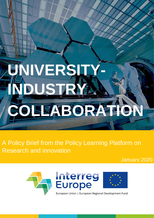# **NIVERS INDUSTRY COLLABORATION**

A Policy Brief from the Policy Learning Platform on Research and innovation

January 2020

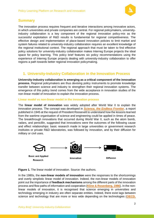

# **Summary**

The innovation process requires frequent and iterative interactions among innovative actors, in which universities and private companies are central. For regional policymakers, universityindustry collaboration is a key component of the regional innovation policy-mix as the successful exploitation of R&D results is fundamental for regional competitiveness. The effective design and implementation of place-based innovation policies to limit market and system failures related to university-industry collaboration requires an excellent knowledge of the regional institutional context. The regional approach that must be taken to find effective policy solutions for university-industry collaboration makes Interreg Europe projects the ideal space for policy learning. This policy brief features six policy recommendations using the experience of Interreg Europe projects dealing with university-industry collaboration to offer regions a path towards better regional innovation policymaking.

# **1. University-Industry Collaboration in the Innovation Process**

**University-industry collaboration is emerging as a critical component of the innovation process.** Regional policymakers are thus devising policy instruments to promote knowledge transfer between science and industry to strengthen their regional innovation systems. The emergence of this policy trend comes from the wide acceptance in innovation studies of the non-linear model of innovation to explain the innovation process.

#### **Linear model vs non-linear model in the innovation process**

The **linear model of innovation** was widely adopted after World War II to explain the innovation process. The concept was developed in *[Science, the Endless Frontier](https://www.nsf.gov/od/lpa/nsf50/vbush1945.htm)*, a report published in 1945 at the request of President Roosevelt to understand how the lessons learned from the wartime organisation of science and engineering could be applied in times of peace. The breakthrough innovations that occurred during World War II, such as the atom bomb, radars, and penicillin, suggested that innovations were the outcomes of the following cause and effect relationships: basic research made in large universities or government research institutes or private R&D laboratories, was followed by innovation, and by their diffusion for military or civil uses.



**Figure 1.** The linear model of innovation. Source: the authors.

In the 1980s, the **non-linear models of innovation** were the responses to the shortcomings and overly simplistic linear model of innovation. Indeed, the non-linear models of innovation point out the importance of **feedback mechanisms** among the different parts of the innovation process and flow paths of information and cooperation (**[Kline & Rosenberg, 1986](file:///C:/Users/am/Downloads/KlineRosenberg(1986).pdf)**). In the nonlinear models of innovation, it is recognised that science emerging in universities and technology emerging in industry are often separate entities. Indeed, there exist lags between science and technology that are more or less wide depending on the technologies (**[OECD,](https://www.oecd-ilibrary.org/industry-and-services/innovation-and-growth-in-tourism/innovation-and-economic-growth_9789264025028-4-en)**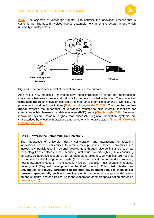

**[2006](https://www.oecd-ilibrary.org/industry-and-services/innovation-and-growth-in-tourism/innovation-and-economic-growth_9789264025028-4-en)**). The objective of knowledge transfer is to optimise the innovation process that is systemic, non-linear, and involves diverse quadruple helix innovative actors, among which university-industry actors.



**Figure 2.** The non-linear model of innovation. Source: the authors.

As a result, new models of innovation have been introduced to stress the importance of interactions between science and industry to promote knowledge transfer. The concept of **triple helix model** of innovation highlights the importance interactions among universities, the private sector and public institutions (**Etzkowitz & [Leydesdorff, 2000](https://www.sciencedirect.com/science/article/abs/pii/S0048733399000554)**). The **open innovation model** stresses the importance of knowledge transfer to build internal capabilities for companies with high research and development (R&D) needs (**[Chesbrough, 2006](https://books.google.fr/books?hl=en&lr=&id=MWPlLbULAmwC&oi=fnd&pg=PT4&dq=chesbrough+2006+open+business+models&ots=BGvJX0lvdO&sig=fJbXPnG7rdiCt8_GluCA61VEc6Q#v=onepage&q=chesbrough%202006%20open%20business%20models&f=false)**). Moreover, innovation system literature argues that successful regional innovation systems are characterised by effective interactions among regional innovative actors (**[Braczyk, Cooke, &](https://books.google.fr/books/about/Regional_Innovation_Systems.html?id=gT0AMUZYgy0C&redir_esc=y)  [Heidenreich, 1998](https://books.google.fr/books/about/Regional_Innovation_Systems.html?id=gT0AMUZYgy0C&redir_esc=y)**).

#### **Box 1. Towards the Entrepreneurial University**

The importance of university-industry collaboration and interactions for fostering innovations has led universities to rethink their purposes. Indeed, universities are increasingly participating in regional development through diverse initiatives such as technology transfer offices (TTOs), licensing, intellectual property rights (IPRs), consulting services, collaborative research, start-up incubators, spinoffs... Universities are not only responsible for developing human capital (Education – the first mission) and for producing new knowledge (Research – the second mission), but also must engage in regional development (Regional development – the third mission). **This third mission for universities to actively participate in regional development requires them to act more entrepreneurially**, such as in creating spinoffs, promoting an entrepreneurial culture among students, and/or participating in the elaboration of smart specialisation strategies (**[Fonseca, 2019](https://www.researchgate.net/publication/337798402_Entrepreneurial_Universities_and_Regional_Innovation_Matching_Smart_Specialisation_Strategies_to_Regional_Needs?_sg=vZ5OidSGy9_0G9EAtg9ioqJyOz8ZXIAqMW_YZ-BSt3xwM2yTMqvJ2fn5AnqMtBwO-mMbZfuCw-mBwhk4peGuk8INTRHG0lqQ49g9Ut3c.ccqiw0VT9mY_blCxO29p8Mv3h4Mr6LP0HZ5CF6jsF_8KuJgra-n9rfh6gG9BpGwvNmfm8FIHmYRCGxJKn6goqQ)**).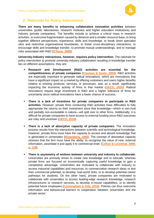

# **2. Rationale for Policy Intervention**

**There are many benefits to enhancing collaborative innovation activities** between universities (public laboratories, research institutes and higher education institutions) and industry (private companies). The benefits include to achieve a critical mass in research activities, to overcome fragmentation caused by distance and a smaller resource base, to bring together different perspectives, experience, skills and knowledge, to break down specialist silos and restrictive organisational boundaries, to foster cross-disciplinary interactions, to encourage skills and knowledge transfer, to promote mutual understandings, and to manage risks associated with R&D (**[O'Kane, 2008](https://trove.nla.gov.au/work/26338833?q&sort=holdings+desc&_=1563356133132&versionId=44716888+217751140+224850294)**).

**University-industry interactions, however, requires policy intervention.** The rationale for policy intervention to promote university-industry collaboration resulting in knowledge transfer lies on different assumptions, they are:

- **Research and Development (R&D) activities are essential for the competitiveness of private companies** (**[Freeman & Soete, 2004](https://www.taylorfrancis.com/books/9780203064474)**). R&D activities are especially important to generate radical innovations, which are innovations that have a significant impact on a market by offering customers and users higher benefits relative to existing products, services, or processes, and, as a result, significantly impacting the economic activity of firms in that market (**[OECD, 2005](http://www.oecd.org/science/inno/2367614.pdf)**). Radical innovations require large investment in R&D and a higher tolerance of firms for uncertainty since radical innovations have a lower chance of success.
- **There is a lack of incentives for private companies to participate in R&D activities.** However, private firms conducting R&D activities have difficulties to fully appropriate the returns on their investment since that knowledge—which is non-rival and partially non-excludable in nature—will spill over to other firms. Additionally, it is difficult for private companies to have access to external funding since R&D outcomes are risky and uncertain (**[OECD, 2016](https://www.oecd-ilibrary.org/docserver/5jlr8fldqk7j-en.pdf?expires=1563285473&id=id&accname=guest&checksum=A912B4F438F98B21E8A93A27B483AEA5)**).
- **There is a lack of absorptive capacity of private companies.** The innovation process results from the interactions between scientific and technological knowledge. However, private firms must have the capacity to access and absorb knowledge that is generated in universities (**[Rosenberg, 1990](https://www.sciencedirect.com/science/article/abs/pii/0048733390900469)**). The concept of absorptive capacity stresses that the firm must have the ability 'to recognise the value of new, external information, assimilate it and apply it to commercial ends' (**[Cohen & Levinthal, 1990,](https://www.researchgate.net/profile/Daniel_Levinthal/publication/220019726_Absorptive_Capacity_A_New_Perspective_on_Learning_and_Innovation/links/0fcfd5142b6a98e555000000.pdf)  [p. 128](https://www.researchgate.net/profile/Daniel_Levinthal/publication/220019726_Absorptive_Capacity_A_New_Perspective_on_Learning_and_Innovation/links/0fcfd5142b6a98e555000000.pdf)**).
- **There is asymmetry of motives between university and industry to collaborate.**  Universities are primarily driven to create new knowledge and to educate, whereas private firms are focused on economically capturing useful knowledge to gain a competitive advantage. Universities are motivated to collaborate with industry to access industrial capabilities and resources, to commercialise research ideas or test their commercial potential, to develop 'real-world' links, or to develop potential career pathways for students. On the other hand, private companies are motivated to collaborate with universities to access leading-edge research knowledge, research infrastructures or research services, to develop in-house capabilities, or to identify potential future employees (**[Cunningham & Gök, 2016](https://books.google.fr/books?hl=en&lr=&id=waSoDAAAQBAJ&oi=fnd&pg=PA239&dq=The+impact+of+innovation+policy+schemes+for+collaboration+&ots=8_PoUZfF2_&sig=_Pmi3f0cKuRvNsRLeoLd8OC3U6A#v=onepage&q=The%20impact%20of%20innovation%20policy%20schemes%20for%20collaboration&f=false)**). Policies can thus overcome information and behavioural barriers to cooperation between universities and the private sector.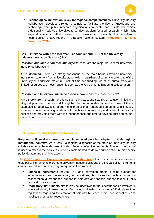

▪ **Technological innovation is key for regional competitiveness.** University-industry collaboration develops stronger channels to facilitate the flow of knowledge and technology from public research organisations to public and private companies. Additionally, it allows universities to conduct problem-focused research, which might expand academic effort devoted to user-oriented research, that accelerates technological breakthroughs in strategic regional sectors (**[Hagedoorn, Link, &](https://www.sciencedirect.com/science/article/abs/pii/S0048733399000906)  [Vonortas, 2000](https://www.sciencedirect.com/science/article/abs/pii/S0048733399000906)**).

**Box 2. Interview with Arno Meerman - co-founder and CEO of the University Industry Innovation Network (UIIN).** 

**Research and Innovation thematic experts:** what are the major barriers for universityindustry collaboration?

*Arno Meerman***:** There is a strong consensus on the main barriers towards universityindustry engagement from university stakeholders regardless of country, type or size of the university or leadership structure. Lack of time and funding, too much bureaucracy and limited resources are most frequently seen as the key elements hindering collaboration.

#### *Research and Innovation thematic experts:* how to address those barriers?

*Arno Meerman***:** Although there is no such thing as a one-size-fits-all solution, in looking at good practices from around the globe, the common denominator in most of these examples is people… It is about hiring professional, engaged personnel with industry experience, about enabling academics through less bureaucracy and different metrics for success and providing them with the independence and time to develop trust and mutual commitment with industry.

## **3. Finding the Right 'Policy-Mix'**

**Regional policymakers must design place-based policies adapted to their regional institutional contexts**. As a result, a regional diagnostic of the state of university-industry collaboration must be undertaken to select the most effective policy-mix. The term 'policy mix' is used to refer to the policy instruments implemented to deliver public action in this specific policy domain and their interactions.

The **[OECD report on University-Industry Collaboration](https://www.interregeurope.eu/policylearning/news/5455/new-oecd-report-on-university-industry-collaboration/?no_cache=1&cHash=5e98b39cdb972b645fae7e65d29f0ea1)** offers a comprehensive overview of 21 policy instruments to promote university-industry collaboration. The 21 policy instruments can be divided into financial, regulatory, or soft instruments.

- **Financial instruments** include R&D and innovation grants, funding support for infrastructures and intermediary organisations, tax incentives with a focus on collaboration, direct financial support for spin-offs, and financial support to recruit PhDs or postdoctoral students.
- **Requiatory instruments** aim to provide incentives to the different parties involved in science-industry knowledge transfer, including intellectual property (IP) rights regime, regulations regarding the creation of spin-offs by researchers, and sabbaticals and mobility schemes for researchers.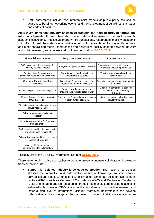

▪ **Soft instruments** include less interventionist models of public policy focused on awareness building, networking events, and the development of guidelines, standards and codes of conduct.

Additionally**, university-industry knowledge transfer can happen through formal and informal channels.** Formal channels include collaborative research, contract research, academic consultancy, intellectual property (IP) transactions, researchers' mobility, academic spin-offs. Informal channels include publication of public research results in scientific journals and other specialised media, conferences and networking, facility sharing between industry and public research, and courses and continuing education (**[OECD, 2019](https://read.oecd-ilibrary.org/science-and-technology/university-industry-collaboration_e9c1e648-en#page1)**).

| <b>Financial Instruments</b>                                               | <b>Regulatory Instruments</b>                                         | Soft Instruments                                                                   |
|----------------------------------------------------------------------------|-----------------------------------------------------------------------|------------------------------------------------------------------------------------|
| R&D innovation subsidies/grants for<br>industry-science research           | IP regulations publicly-funded research                               | Outreach activities to raise awareness<br>of science-industry opportunities        |
| Tax incentives for companies<br>purchasing research from universities      | Regulation of spin-offs founded by<br>researchers & students          | Training programs on knowledge<br>collaboration                                    |
| Grants for IP applications from<br>universities                            | Sabbaticals & mobility schemes for<br>researchers to work in industry | Collective industry-science roadmapping<br>& foresight                             |
| Financial support to academic spin-offs                                    | Career rewards for researchers<br>engaging in knowledge collaboration | Guidelines, standards, & codes of<br>conduct for science-industry<br>collaboration |
| Financial support to firms to recruit<br>PhDs & post-docs                  | Open access & open data provisions for<br>publicly-funded research    | Networking support to build science-<br>industry linkages                          |
| Financial support for universities to host<br>industry researchers         |                                                                       |                                                                                    |
| Public procurement of university<br>research                               |                                                                       |                                                                                    |
| Innovation vouchers for R&D services<br>from universities                  |                                                                       |                                                                                    |
| Performance-based funding systems for<br>university linkages with industry |                                                                       |                                                                                    |
| Public-private partnerships creating joint<br>research laboratories        |                                                                       |                                                                                    |
| Funding of infrastructures &<br>intermediaries for collaboration           |                                                                       |                                                                                    |

**Table 1.** List of the 21 policy instruments. Source**: [OECD, 2019](https://read.oecd-ilibrary.org/science-and-technology/university-industry-collaboration_e9c1e648-en#page1)**.

There are emerging policy approaches to promote university-industry collaboration knowledge transfer that include:

▪ **Support for science industry knowledge co-creation**. The notion of co-creation stresses the interactive and collaborative nature of knowledge transfer between universities and industry. For instance, policymakers can create collaborative research centres (CRCs) such as Centres of Competence (CoC) and Centres of Excellence (CoE) to engage in applied research in strategic regional sectors in close relationship with leading businesses. CRCs aim to build a critical mass of competitive research and foster a high level of international visibility. Moreover, policymakers can develop collaborative and knowledge exchange research projects that involve one or more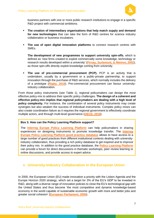

business partners with one or more public research institutions to engage in a specific R&D project with commercial ambitions.

- **The creation of intermediary organisations that help match supply and demand for new technologies** that can take the form of R&D centres for science industry collaboration or business incubators.
- **The use of open digital innovation platforms** to connect research centres with SMEs.

**The development of new programmes to support university spin-offs**, which is defined as 'new firms created to exploit commercially some knowledge, technology or research results developed within a university' (**[Pirnay, Surlemont, & Nlemvo, 2002](https://www.researchgate.net/profile/Fabrice_Pirnay/publication/5158193_Toward_a_Typology_of_University_Spin-Offs/links/5c6d37b1a6fdcc404ebf3d82/Toward-a-Typology-of-University-Spin-Offs.pdf)**), as those spin-offs directly exploit knowledge coming from university.

▪ **The use of pre-commercial procurement (PCP).** PCP is an activity that is undertaken, usually by a government or a public-private partnership, to support innovation through the purchase of R&D services, which normally includes the delivery of a prototype (**[Rigby, 2016](https://ideas.repec.org/h/elg/eechap/16121_12.html)**). Pre-commercial procurement can favour universityindustry collaboration.

From those policy instruments (see Table 1), regional policymakers can design the most effective policy-mix to address their specific policy challenges. **The design of a coherent and effective policy-mix implies that regional policymakers are dealing with a high level of policy complexity.** For instance, the combination of several policy instruments may create synergies but also weaken the success of individual instruments. Complex policy mixes can also create coordination failure as it requires the regional government to effectively coordinate multiple actors, and through multi-level governance (**[OECD, 2019](https://www.oecd-ilibrary.org/science-and-technology/science-industry-knowledge-exchange_66a3bd38-en)**).

#### **Box 3. How can the Policy Learning Platform support?**

The **[Interreg Europe Policy Learning Platform](https://www.interregeurope.eu/policylearning/)** can help policymakers in sharing experiences on designing instruments to promote knowledge transfer. The **Interreg Europe [Policy Learning Platform good practice database](https://www.interregeurope.eu/policylearning/good-practices/)** allows to have access to a large number of good practices from different institutional contexts dealing with universityindustry collaboration, thus providing a rich policy database to get inspired and to improve their policy mix. In addition to the good practice database, the **[Policy Learning Platform](https://www.interregeurope.eu/policylearning/)** can provide a forum for direct discussions in thematic workshops, peer review learning or online discussions, and provide access to expert advice.

# **4. University-Industry Collaboration in the European Union**

In 2000, the European Union (EU) made innovation a priority with the Lisbon Agenda and the Europe Horizon 2020 strategy, which set a target for 3% of the EU's GDP to be invested in R&D, along with a diverse range of innovation policies to close the EU's technological gap with the United States and thus become 'the most competitive and dynamic knowledge-based economy in the world capable of sustainable economic growth with more and better jobs and greater social cohesion' (**[European Parliament, 2000](http://www.europarl.europa.eu/summits/lis1_en.htm)**).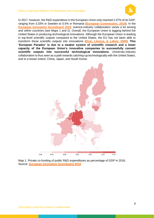#### Policy Learning Platform on Research and innovation



In 2017, however, the R&D expenditure in the European Union only reached 2.07% of its GDP, ranging from 3.33% in Sweden to 0.5% in Romania (**[European Commission, 2019](https://ec.europa.eu/eurostat/documents/2995521/9483597/9-10012019-AP-EN.pdf/856ce1d3-b8a8-4fa6-bf00-a8ded6dd1cc1)**). In the **European [Innovation Scoreboard 2019](https://ec.europa.eu/growth/industry/innovation/facts-figures/scoreboards_en)**, science-industry collaboration varies a lot among and within countries (see Maps 1 and 2). Overall, the European Union is lagging behind the United States in producing technological innovations. Although the European Union is leading in top-level scientific outputs compared to the United States, the EU has not been able to transform these scientific outputs into innovations (**[Dosi, Llerena, & Labini, 2006](https://econpapers.repec.org/article/eeerespol/v_3a35_3ay_3a2006_3ai_3a10_3ap_3a1450-1464.htm)**). **This 'European Paradox' is due to a weaker system of scientific research and a lower capacity of the European Union's innovative companies to successfully convert scientific outputs into successful technological innovations.** University-industry collaboration is thus seen as a path towards catching-up technologically with the United States, and to a lesser extent, China, Japan, and South Korea.



Map 1. Private co-funding of public R&D expenditures as percentage of GDP in 2016. Source: **[European Innovation Scoreboard 2019](https://ec.europa.eu/growth/industry/innovation/facts-figures/scoreboards_en)**.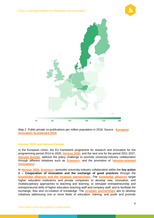



Map 2. Public-private co-publications per million population in 2018. Source : **[European](https://ec.europa.eu/growth/industry/innovation/facts-figures/scoreboards_en)  [Innovation Scoreboard 2019](https://ec.europa.eu/growth/industry/innovation/facts-figures/scoreboards_en)**.

#### **Horizon 2020 and Horizon Europe**

In the European Union, the EU framework programme for research and innovation for the programming period 2014 to 2020, **[Horizon 2020](https://ec.europa.eu/programmes/horizon2020/en/what-horizon-2020)**, and the next one for the period 2021-2027, **[Horizon Europe](https://ec.europa.eu/info/designing-next-research-and-innovation-framework-programme/what-shapes-next-framework-programme_en)**, address the policy challenge to promote university-industry collaboration through different initiatives such as **[Erasmus+](https://eit.europa.eu/who-we-are/faq)** and the promotion of '**[mission-oriented](https://academic.oup.com/icc/article/27/5/803/5127692)  [innovations](https://academic.oup.com/icc/article/27/5/803/5127692)**'.

In **[Horizon 2020](https://ec.europa.eu/programmes/horizon2020/en/what-horizon-2020)**, **[Erasmus+](https://eit.europa.eu/who-we-are/faq)** promotes university-industry collaboration within the **key action 2 – Cooperation of innovation and the exchange of good practices** through the **[knowledge alliances and the strategic partnerships](https://eacea.ec.europa.eu/erasmus-plus/actions/cooperation-for-innovation-and-exchange-good-practices_en)**. The **[knowledge alliances](https://eacea.ec.europa.eu/erasmus-plus/selection-results/knowledge-alliances-2018_en)** target higher education institutions and private companies to develop new, innovative, and multidisciplinary approaches to teaching and learning; to stimulate entrepreneurship and entrepreneurial skills of higher education teaching staff and company staff; and to facilitate the exchange, flow and co-creation of knowledge. The **[strategic partnerships](https://ec.europa.eu/programmes/erasmus-plus/opportunities/strategic-partnerships-field-education-training-and-youth_en)** aim to develop initiatives addressing one or more fields of education, training, and youth and promote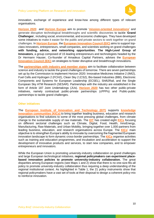

innovation, exchange of experience and know-how among different types of relevant organisations.

**[Horizon 2020](https://ec.europa.eu/programmes/horizon2020/en/what-horizon-2020)** and **[Horizon Europe](https://ec.europa.eu/info/designing-next-research-and-innovation-framework-programme/what-shapes-next-framework-programme_en)** aim to promote '**[mission-oriented innovations](https://academic.oup.com/icc/article/27/5/803/5127692)**' and generate disruptive technological breakthroughs and scientific discoveries to tackle '**Grand Challenges**', including social, environmental, and economic challenges. They have developed some initiatives to make it easier for the public and private sectors to work together on grand challenges. In **[Horizon Europe](https://ec.europa.eu/info/designing-next-research-and-innovation-framework-programme/what-shapes-next-framework-programme_en)**, the **[European Innovation Council](https://ec.europa.eu/research/eic/index.cfm) (EIC)** aims to support topclass innovators, entrepreneurs, small companies, and scientists working on grand challenges **with funding, advice, and networking opportunities**. **The High-Level Group of Innovators**, a group composed of 15 leading entrepreneurs and technologists headed by the Dr Hermann Hauser, Co-founder of Amadeus Capital Partners, advises the **[European](https://ec.europa.eu/research/eic/index.cfm)  [Innovation Council](https://ec.europa.eu/research/eic/index.cfm) (EIC)** on strategies to foster disruptive and breakthrough innovations.

The **[partnerships with industry and member states](https://ec.europa.eu/programmes/horizon2020/en/what-horizon-2020)** aim to facilitate collaboration between science and industry to tackle the grand challenges of tomorrow. There are seven partnerships set up by the Commission to implement Horizon 2020: Innovative Medicines Initiative 2 (IMI2), Fuel Cells and Hydrogen 2 (FCH2), Clean Sky 2 (CS2), Bio-based Industries (BBI), Electronic Components and Systems for European Leadership (ECSEL), Shift2Rail, and the Single European Sky ATM Research (SESAR). Partnerships with the industry are established in the form of Article 187 Joint Undertakings (JUs). **[Horizon 2020](https://ec.europa.eu/programmes/horizon2020/en/what-horizon-2020)** has two other public-private initiatives, namely contractual public-private partnerships (cPPPs) and Public-public partnerships to tackle grand challenges.

#### **Other initiatives**

The **[European Institute of Innovation and Technology \(EIT\)](https://eit.europa.eu/who-we-are/eit-glance/mission)** supports **[knowledge](https://eit.europa.eu/our-communities/eit-innovation-communities/success)  [innovation communities](https://eit.europa.eu/our-communities/eit-innovation-communities/success) (KICs)** to bring together leading business, education and research organisations to find solutions to some of the most pressing global challenges, from climate change to the sustainable supply of raw materials. The **[EIT](https://eit.europa.eu/who-we-are/faq)** has created eight **[KICs](https://eit.europa.eu/who-we-are/faq)** focusing on different sectorial challenges such as Climate, Digital, Food, Health, InnoEnergy, Manufacturing, Raw Materials, and Urban Mobility, bringing together over 1,000 partners from leading business, education, and research organisations across Europe. The **[KICs](https://eit.europa.eu/who-we-are/faq)**' main objective is to strengthen Europe's ability to innovate by overcoming the fragmented European innovation landscape to form dynamic cross-border partnerships. The **[KICs](https://eit.europa.eu/who-we-are/faq)** organise activities such as training and education programmes, and incubation and acceleration to support the development of innovative products and services, to start new companies, and to empower entrepreneurs and innovators.

While the European Union is promoting university-industry collaboration on grand challenges and large European technological initiatives, **regional policymakers can experiment placebased innovation policies to promote university-industry collaboration.** The great disparities among European regions (see Maps 1 and 2) show that there is no one-size-fits-all policy to promote university-industry collaboration thus requiring a deep understanding of the regional institutional context. As highlighted in Table 1, the 21 policy instruments show that regional policymakers have a vast set of tools at their disposal to design a coherent policy-mix to reinforce innovation.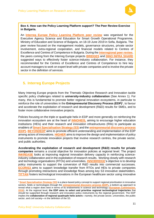

#### **Box 4. How can the Policy Learning Platform support? The Peer Review Exercise in Bulgaria.**

An **[Interreg Europe Policy Learning Platform](https://www.interregeurope.eu/policylearning/) peer review** was organised for the Executive Agency Science and Education for Smart Growth Operational Programme, Ministry of Education and Science of Bulgaria, on 18-19 June 2019 in Sofia, Bulgaria. The peer review focused on the management models, governance structures, private sector involvement, extra-regional cooperation, and financial models related to Centres of Excellence and Centres of Competence in Bulgaria. During the **[interregional peer review](https://www.interregeurope.eu/peer-review/)**, the peers coming from the Interreg Europe projects **[BRIDGES](https://www.interregeurope.eu/bridges/)** and **[INNO INFRA SHARE](https://www.interregeurope.eu/innoinfrashare/)** suggested ways to effectively foster science-industry collaboration. For instance, they recommended for the Centres of Excellence and Centres of Competence to hire key account managers to work on expert level with private companies and to involve the private sector in the definition of services.

# **5. Interreg Europe Projects**

Many Interreg Europe projects from the Thematic Objective Research and Innovation tackle specific policy challenges related to **university-industry collaboration** (See Annex 1). For many, this is fundamental to promote better regional innovation ecosystems, in particular to reinforce the role of universities in the **Entrepreneurial Discovery Process (EDP)**<sup>1</sup>, to favour and accelerate the exploitation of research and development (R&D) results for SMEs, and to foster more collaborative innovative projects.

Policies focusing on the triple or quadruple helix in EDP and more generally on reinforcing the innovation ecosystem are at the heart of **[INNOHEIS,](https://www.interregeurope.eu/INNOHEIS/)** aiming to encourage higher education institutions (HEIs) and their research and innovation infrastructures (RIIs) to participate as enablers of **[Smart Specialisation Strategy \(S3\)](http://s3platform.jrc.ec.europa.eu/what-is-smart-specialisation-)** and the **[entrepreneurial discovery process](http://s3platform.jrc.ec.europa.eu/entrepreneurial-discovery-edp)  [\(EDP\).](http://s3platform.jrc.ec.europa.eu/entrepreneurial-discovery-edp) [BEYONDEDP](https://www.interregeurope.eu/beyondedp/)** aims to promote efficient understanding and implementation of the EDP among actors of innovations. **[HIGHER](https://www.interregeurope.eu/HIGHER/)** aims to improve the design and implementation of policy instruments to promote innovation projects that involve research centres, the private sector, and public authorities.

**Accelerating the exploitation of research and development (R&D) results for private companies** remains a crucial objective for innovation policies at regional level. The project **[INKREASE](https://www.interregeurope.eu/inkrease/)** looks at improving regional innovation delivery capacity in reinforcing scienceindustry collaboration and in the exploitation of research results. Working closely with research and technology organisations (RTOs) and universities, **[INNOBRIDGE](https://www.interregeurope.eu/innobridge/)**'s objective is to develop policy instruments to support the conversion of R&D results into commercial successes. **[ECORIS3](https://www.interregeurope.eu/ECORIS3/)** aims to support knowledge transfer from RTOs and HEIs to private companies through promoting interactions and knowledge flows among key S3 innovative stakeholders. **[TITTAN](https://www.interregeurope.eu/tittan/)** fosters technological innovations in the European healthcare sector using innovative

<sup>1</sup> **[Smart Specialisation Strategy \(S3\)](http://s3platform.jrc.ec.europa.eu/what-is-smart-specialisation-)** is a place-based policy concept to support regional prioritisation in innovative sectors, fields or technologies through the **[entrepreneurial discovery process \(EDP\),](http://s3platform.jrc.ec.europa.eu/entrepreneurial-discovery-edp)** a bottom-up approach to reveal what a region does best in terms of its endowments in science and technology (**[European Commission,](http://s3platform.jrc.ec.europa.eu/-/draft-implementing-smart-specialisation-strategies-a-handbook)  [2016](http://s3platform.jrc.ec.europa.eu/-/draft-implementing-smart-specialisation-strategies-a-handbook)**). At the regional level, **the EDP aims to select and prioritise regional technological trajectories** that should be supported through research and innovation policy instruments by the regional government. The EDP implies the **collaboration of regional quadruple helix actors**—namely, the private sector, universities, the public sector, and civil society—in the definition of the S3.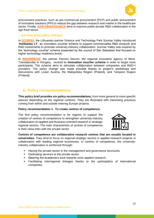

procurement practices, such as pre-commercial procurement (PCP) and public procurement of innovative solutions (PPI) to reduce the gap between research and market in the healthcare sector. Finally, **[AGRI RENAISSANCE](https://www.interregeurope.eu/agrirenaissance/)** aims to improve public-private R&D collaboration in the agri-food sector.

#### **…and they bring policy changes…**

In **[ECORIS3](https://www.interregeurope.eu/ECORIS3/)**, the Lithuanian partner Science and Technology Park Sunrise Valley introduced '**InoStartas LT**', an innovation voucher scheme to support commercialise R&D products and R&D investments to promote university-industry collaboration. Sunrise Valley was inspired by the 'technology voucher' scheme presented by the council of San Sebastian that focused on higher technology readiness levels.

In **[INNOBRIDGE](https://www.interregeurope.eu/innobridge/)**, the partner Pannon Novum, the regional innovation agency of West-Transdanubia in Hungary, revised its **innovation voucher scheme** in order to target more participants. The scheme aims to stimulate collaboration between companies and R&D+I providers. The policy change was made possible thanks to project's workshops and discussions with Lower Austria, the Malopolska Region (Poland), and Tampere Region (Finland).

## **6. Policy recommendations**

**This policy brief provides six policy recommendations,** from more general to more specific advices depending on the regional contexts. They are illustrated with interesting practices coming from within and outside Interreg Europe projects.

#### **Policy recommendation 1. To create centres of competence.**

The first policy recommendation is for regions to support the creation of centres of competence to strengthen university-industry collaboration on applied and business-oriented research in strategic regional sectors. The main characteristic of centres of competence is their close links with the private sector.



**Centres of competence are collaborative research centres that are usually located in universities.** They tend to focus on regional strategic sectors in applied research projects in collaboration with leading regional businesses. In centres of competence, the universityindustry collaboration is reinforced through:

- Having the private sector in the management and governance structures,
- Dedicating services to the private sector,
- Steering the academia's work towards more applied research,
- Facilitating interregional linkages thanks to the participation of international companies.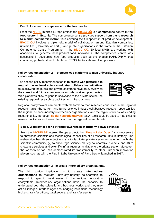

#### **Box 5. A centre of competence for the food sector**

From the **[NICHE](file:///C:/Users/am/Desktop/Policy%20Learning%20Platform/Featuring%20Good%20Content/Featuring%20Innovation%20in%20Food/NICHE)** Interreg Europe project, the **[BioCC OÜ](https://www.interregeurope.eu/policylearning/good-practices/item/999/a-food-innovation-system-based-on-competence-centre-environment/)** is a **competence centre in the food sector in Estonia.** The competence centre provides support **from basic research to market commercialisation** thus covering the full spectrum of product development. **[BioCC OÜ](https://www.interregeurope.eu/policylearning/good-practices/item/999/a-food-innovation-system-based-on-competence-centre-environment/)** involves a triple-helix model of collaboration among Estonian companies, universities (University of Tartu), and public organisations in the frame of the Estonian Competence Centre Programme. In the **[BioCC OÜ](https://www.interregeurope.eu/policylearning/good-practices/item/999/a-food-innovation-system-based-on-competence-centre-environment/)**, 20 food SMEs are working with academics to generate new product food innovations. The competence centre was successful in developing new food products, such as the cheese HARMONY<sup>™</sup> that containing probiotic strain L.plantarum TENSIA® to stabilise blood pressure.

#### **Policy recommendation 2. To create web platforms to map university-industry collaboration.**

The second policy recommendation is **to create web platforms to map all the regional science-industry collaborative initiatives** thus allowing the public and private sectors to have an overview on the current and future science-industry collaborative opportunities. Web platforms allow regions to showcase to the private sector, the existing regional research capabilities and infrastructures.

Regional policymakers can create web platforms to map research conducted in the regional research units, the current and future science-industry collaborative research opportunities, the regional science-industry intermediary organisations, and the region's world-class leading research units. Moreover, **[social network analysis](https://en.wikipedia.org/wiki/Social_network_analysis)** (SNA) tools could be used to map existing research activities and interactions across the regional research units.

#### **Box 6. Webservices for a stronger awareness of Brittany's R&D potential**

From the **[INKREASE](https://www.interregeurope.eu/inkrease/)** Interreg Europe project, the "**[Plug in Labs Ouest](https://www.interregeurope.eu/inkrease/)**" is a webservice to showcase scientific and technological capabilities of all research units in Brittany. The webservice has three objectives: (1) to facilitate private sector engagement with the scientific community, (2) to encourage science-industry collaborative projects, and (3) to showcase services and scientific infrastructures available to the private sector. Moreover, the webservice tool has demonstrated its transferability to other European innovation players such as with the Plug in Labs University of Paris-Saclay launched in 2017.

#### **Policy recommendation 3. To create intermediary organisations.**

The third policy implication is to **create intermediary organisations** to facilitate university-industry collaboration to respond to specific weaknesses in the regional innovation ecosystems. Intermediary organisations have the capacity to understand both the scientific and business worlds and they may act as linkages, interface agencies, bridging institutions, technology brokers, transfer offices, gatekeepers, and transfer agents.



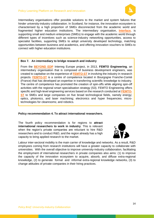

Intermediary organisations offer possible solutions to the market and system failures that hinder university-industry collaboration. In Scotland, for instance, the innovation ecosystem is characterised by a high proportion of SMEs disconnected from the academic world and fragmented higher education institutions. The intermediary organisation, **[Interface](https://www.interregeurope.eu/policylearning/good-practices/item/2691/interface-the-knowledge-connection-for-business/)**, is supporting small and medium enterprises (SMEs) to engage with the academic world through different types of incentives such as science-industry networking opportunities, access to specialist facilities, supporting SMEs to adopt university developed technology, matching opportunities between business and academics, and offering innovation vouchers to SMEs to connect with higher education institutions.

#### **Box 7. An intermediary to bridge research and industry**

From the **[BEYOND EDP](https://www.interregeurope.eu/beyondedp/)** Interreg Europe project, in 2013, **FEMTO Engineering**, an intermediary organisation that is composed of business development engineers, was created to capitalise on the experience of **[FEMTO-ST](https://www.interregeurope.eu/policylearning/good-practices/item/2446/developing-academic-excellence-with-strong-links-to-its-societal-economic-impact/)** in involving the industry in research projects. **[FEMTO-ST](https://www.interregeurope.eu/policylearning/good-practices/item/2446/developing-academic-excellence-with-strong-links-to-its-societal-economic-impact/)** is a centre of competence located in Bourgogne Franche-Comté (France) that has developed an expertise in transferring scientific knowledge to industry. The centre of competence has promoted the creation of spin-offs while aligning spin-off activities with the regional smart specialisation strategy (S3). FEMTO Engineering offers specific and high-level engineering services based on the research conducted at **[FEMTO-](https://www.interregeurope.eu/policylearning/good-practices/item/2446/developing-academic-excellence-with-strong-links-to-its-societal-economic-impact/)[ST](https://www.interregeurope.eu/policylearning/good-practices/item/2446/developing-academic-excellence-with-strong-links-to-its-societal-economic-impact/)** to SMEs and large companies on five broad technological fields, namely energy; optics, photonics, and laser machining; electronics and hyper frequencies; microtechnologies for cleanrooms; and robotics.

#### **Policy recommendation 4. To attract international researchers.**

The fourth policy recommendation is for regions to **attract international researchers to work in industry**. This is relevant when the region's private companies are reluctant to hire R&D researchers and to conduct R&D, and the region already has a high capacity to bring applied research to the market.



Labour inter-sectoral mobility is the main carrier of knowledge and networks. As a result, R&D employees coming from research institutions will have a greater capacity to collaborate with universities. With the overall objective to improve university-industry collaboration, facilitating the employment of international researchers in private companies also aims: (1) to improve the capacity of the innovation ecosystem to acquire, absorb, and diffuse extra-regional knowledge, (2) to generate formal and informal extra-regional knowledge networks, (3) to change attitudes of private companies in their hiring practices.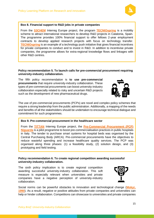

#### **Box 8. Financial support to R&D jobs in private companies**

From the **[S3CHEM](https://www.interregeurope.eu/beyondedp/)** Interreg Europe project, the program **[TECNIOspring](https://www.interregeurope.eu/policylearning/good-practices/item/2421/tecniospring-accio-s-international-talent-attraction-programme/)** is a mobility scheme to attract international researchers to develop R&D projects in Catalonia, Spain. The programme provides 100% financial support to offer fellows 2-year employment contracts to develop applied research projects with focus on technology transfer. **[TECNIOspring](https://www.interregeurope.eu/policylearning/good-practices/item/2421/tecniospring-accio-s-international-talent-attraction-programme/)** is an example of a technology push initiative that gives financial incentives for private companies to conduct and to invest in R&D. In addition to incentivise private companies, the programme allows for extra-regional knowledge flows and linkages with other R&D centres.

#### **Policy recommendation 5. To launch calls for pre-commercial procurement requiring university-industry collaboration.**

The fifth policy recommendation is **to use pre-commercial procurements** that require university-industry collaboration. These types of pre-commercial procurements can boost university-industry collaboration especially related to risky and uncertain R&D projects such as the development of new pharmaceutical drugs.

The use of pre-commercial procurements (PCPs) are novel and complex policy schemes that require a strong leadership from the public administration. Additionally, a mapping of the needs and benefits of all the stakeholders should be undertaken to encourage technical dialogue and commitment for such programmes.

#### **Box 9. Pre-commercial procurement in the healthcare sector**

From the **[TITTAN](https://www.interregeurope.eu/s34growth/)** Interreg Europe project, the **[Pre-Commercial Procurement \(PCP\)](https://www.interregeurope.eu/policylearning/good-practices/item/1305/pre-commercial-procurement-niguarda/)  [Niguarda](https://www.interregeurope.eu/policylearning/good-practices/item/1305/pre-commercial-procurement-niguarda/)** is a pilot programme to boost pre-commercialisation practices in public hospitals in Italy. The tender to purchase smart systems for hospital beds was organised by the Central Purchasing Body (ARCA). Pre-commercial procurements have the objectives to reduce wasteful spending and increase healthcare quality services. The PCP was organised along three phases: (1) a feasibility study, (2) solution design, and (3) prototyping and field testing.

#### **Policy recommendation 6. To create regional competition awarding successful university-industry collaboration.**

The sixth policy implication is to create regional competition awarding successful university-industry collaboration. This soft measure is especially relevant when universities and private companies have a negative perception of university-industry collaboration.



Social norms can be powerful obstacles to innovation and technological change (**[Mokyr,](https://books.google.fr/books?hl=en&lr=&id=b9Ha2CJHPQUC&oi=fnd&pg=PP1&dq=Mokyr&ots=OFQB3ER1aq&sig=9pdEBvKNTyN2fuEeYI-Ne9q1C-A#v=onepage&q=Mokyr&f=false)  [1990](https://books.google.fr/books?hl=en&lr=&id=b9Ha2CJHPQUC&oi=fnd&pg=PP1&dq=Mokyr&ots=OFQB3ER1aq&sig=9pdEBvKNTyN2fuEeYI-Ne9q1C-A#v=onepage&q=Mokyr&f=false)**). As a result, negative or positive attitudes from private companies and universities can help or hinder collaboration. Competitions can showcase to universities and private companies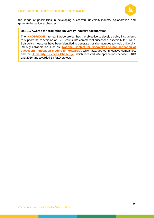

the range of possibilities in developing successful university-industry collaboration and generate behavioural changes.

#### **Box 10. Awards for promoting university-industry collaboration**

The **[INNOBRIDGE](https://www.interregeurope.eu/innobridge/)** Interreg Europe project has the objective to develop policy instruments to support the conversion of R&D results into commercial successes, especially for SMEs. Soft policy measures have been identified to generate positive attitudes towards universityindustry collaboration such as **[National Contest for discovery and popularisation of](https://www.interregeurope.eu/policylearning/good-practices/item/1028/national-contest-for-discovery-and-popularisation-of-successful-innovation-models-innoawards/)  [successful innovation models \(InnoAwards\),](https://www.interregeurope.eu/policylearning/good-practices/item/1028/national-contest-for-discovery-and-popularisation-of-successful-innovation-models-innoawards/)** which awarded 90 innovative companies, and the **[University-Business Challenge](https://www.interregeurope.eu/policylearning/good-practices/item/1049/university-business-challenge-contest/)**, which received 204 applications between 2013 and 2016 and awarded 18 R&D projects.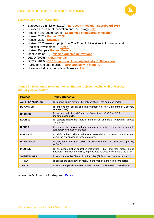

#### **Sources of further information**

- European Commission (2019) **[European Innovation Scoreboard 2019](https://ec.europa.eu/growth/industry/innovation/facts-figures/scoreboards_en)**
- European Institute of Innovation and Technology **[EIT](https://eit.europa.eu/)**
- Freeman and Soete (2004) **[Economics of Industrial Innovation](https://www.taylorfrancis.com/books/9780203064474)**
- Horizon 2020 **[Horizon 2020](https://ec.europa.eu/programmes/horizon2020/en/what-horizon-2020)**
- Horizon 2020 **[Erasmus+](https://eit.europa.eu/who-we-are/faq)**
- Horizon 2020 research project on 'The Role of Universities in Innovation and Regional Development' - **[RUNIN](https://runinproject.eu/)**
- Horizon Europe **[Horizon Europe](https://ec.europa.eu/info/designing-next-research-and-innovation-framework-programme/what-shapes-next-framework-programme_en)**
- Mazzucato (2018) **[mission-oriented innovations](https://academic.oup.com/icc/article/27/5/803/5127692)**
- OECD (2005) **[OSLO Manual](http://www.oecd.org/science/inno/2367614.pdf)**
- OECD (2019) **[OECD report on University-Industry Collaboration](https://www.interregeurope.eu/policylearning/news/5455/new-oecd-report-on-university-industry-collaboration/?no_cache=1&cHash=5e98b39cdb972b645fae7e65d29f0ea1)**
- Public-private partnerships **[partnerships with industry](https://ec.europa.eu/programmes/horizon2020/en/area/partnerships-industry-and-member-states)**
- University Industry Innovation Network **[UIIN](https://www.uiin.org/)**

#### **Annex 1: Selection of relevant Interreg Europe projects dealing with universityindustry collaboration**

| <b>Project</b>          | <b>Policy Objective</b>                                                                                                                                     |
|-------------------------|-------------------------------------------------------------------------------------------------------------------------------------------------------------|
| <b>AGRI RENAISSANCE</b> | To improve public-private R&D collaboration in the agri-food sector                                                                                         |
| <b>BEYOND EDP</b>       | To improve the design and implementation of the Entrepreneur Discovery<br>Process (EDP)                                                                     |
| <b>BRIDGES</b>          | To enhance industry-led Centres of Competence (CoCs) as RIS3<br>implementation units.                                                                       |
| <b>ECORIS3</b>          | To support knowledge transfer from RTOs and HEIs to regional private<br>companies.                                                                          |
| <b>HIGHER</b>           | To improve the design and implementation of policy instruments to promote<br>collaborative innovation projects.                                             |
| <b>INKREASE</b>         | To reinforce the collaboration between research and business communities and<br>favour the exploitation of research results.                                |
| <b>INNOBRIDGE</b>       | To support the conversion of R&D results into commercial successes, especially<br>for SMEs.                                                                 |
| <b>INNOHEIS</b>         | To encourage higher education institutions (HEIs) and their research and<br>innovation infrastructures (RIIs) to participate as enablers of S3 and the EDP. |
| <b>SMARTPILOTS</b>      | To support effective Shared Pilot Facilities (SPF) for the bio-based economy.                                                                               |
| <b>TITTAN</b>           | To reduce the gap between research and market in the healthcare sector.                                                                                     |
| <b>TRACS3</b>           | To support regional innovation infrastructures to build research excellence.                                                                                |

*Image credit: Photo by Pixabay from [Pexels](https://www.pexels.com/photo/high-angle-view-of-a-man-256381/)*